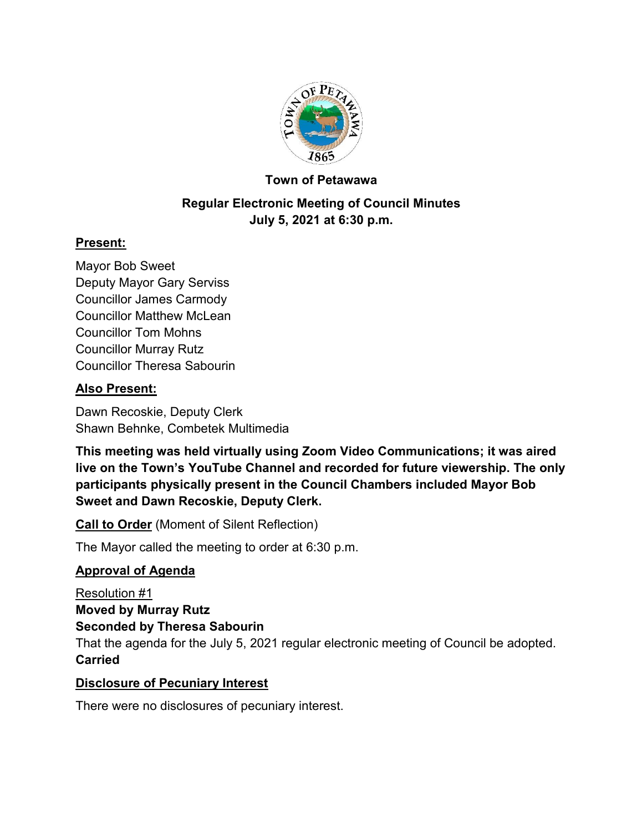

## **Town of Petawawa**

# **Regular Electronic Meeting of Council Minutes July 5, 2021 at 6:30 p.m.**

## **Present:**

Mayor Bob Sweet Deputy Mayor Gary Serviss Councillor James Carmody Councillor Matthew McLean Councillor Tom Mohns Councillor Murray Rutz Councillor Theresa Sabourin

## **Also Present:**

Dawn Recoskie, Deputy Clerk Shawn Behnke, Combetek Multimedia

**This meeting was held virtually using Zoom Video Communications; it was aired live on the Town's YouTube Channel and recorded for future viewership. The only participants physically present in the Council Chambers included Mayor Bob Sweet and Dawn Recoskie, Deputy Clerk.**

**Call to Order** (Moment of Silent Reflection)

The Mayor called the meeting to order at 6:30 p.m.

## **Approval of Agenda**

Resolution #1 **Moved by Murray Rutz Seconded by Theresa Sabourin** That the agenda for the July 5, 2021 regular electronic meeting of Council be adopted. **Carried**

## **Disclosure of Pecuniary Interest**

There were no disclosures of pecuniary interest.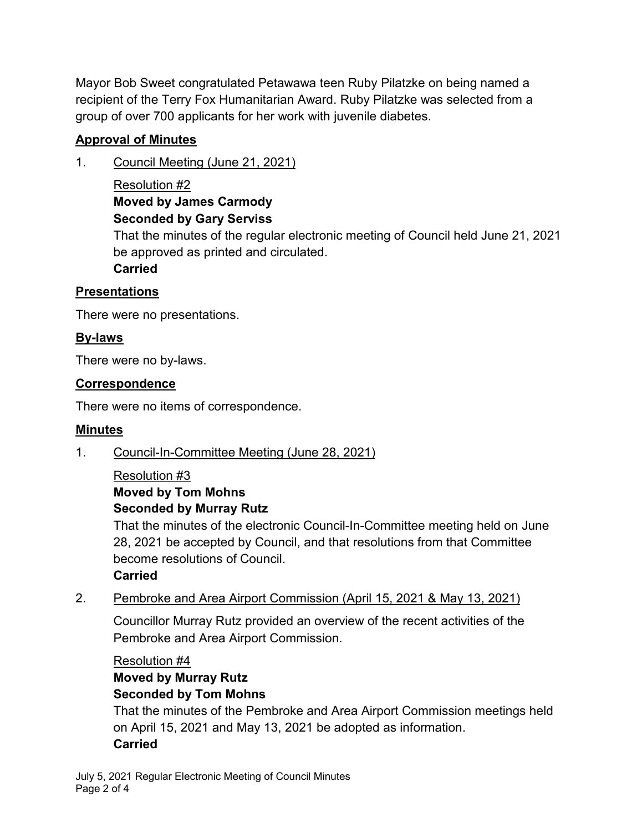Mayor Bob Sweet congratulated Petawawa teen Ruby Pilatzke on being named a recipient of the Terry Fox Humanitarian Award. Ruby Pilatzke was selected from a group of over 700 applicants for her work with juvenile diabetes.

# **Approval of Minutes**

- 1. Council Meeting (June 21, 2021)
	- Resolution #2 **Moved by James Carmody Seconded by Gary Serviss**

That the minutes of the regular electronic meeting of Council held June 21, 2021 be approved as printed and circulated.

**Carried**

# **Presentations**

There were no presentations.

# **By-laws**

There were no by-laws.

## **Correspondence**

There were no items of correspondence.

# **Minutes**

1. Council-In-Committee Meeting (June 28, 2021)

#### Resolution #3 **Moved by Tom Mohns Seconded by Murray Rutz**

That the minutes of the electronic Council-In-Committee meeting held on June 28, 2021 be accepted by Council, and that resolutions from that Committee become resolutions of Council.

## **Carried**

2. Pembroke and Area Airport Commission (April 15, 2021 & May 13, 2021)

Councillor Murray Rutz provided an overview of the recent activities of the Pembroke and Area Airport Commission.

Resolution #4

# **Moved by Murray Rutz Seconded by Tom Mohns**

That the minutes of the Pembroke and Area Airport Commission meetings held on April 15, 2021 and May 13, 2021 be adopted as information. **Carried**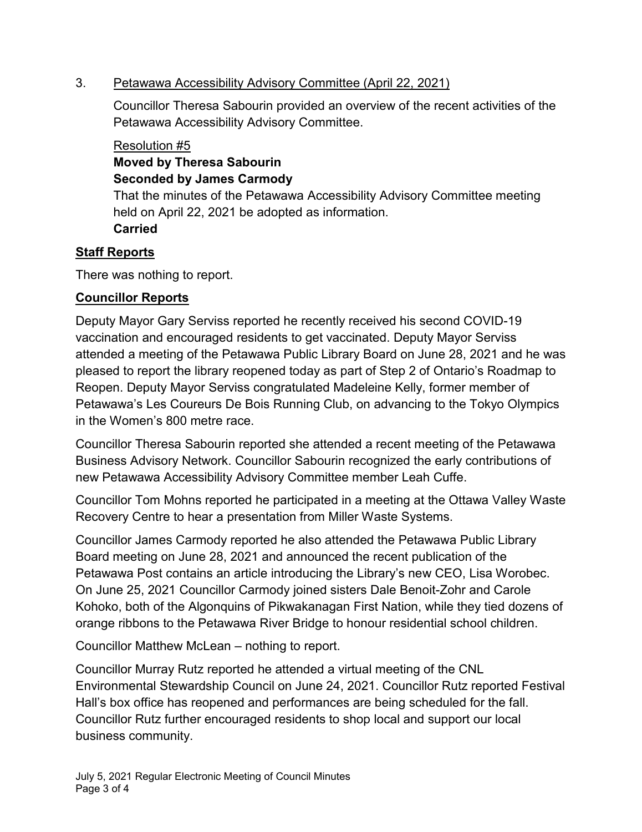## 3. Petawawa Accessibility Advisory Committee (April 22, 2021)

Councillor Theresa Sabourin provided an overview of the recent activities of the Petawawa Accessibility Advisory Committee.

#### Resolution #5 **Moved by Theresa Sabourin Seconded by James Carmody**

That the minutes of the Petawawa Accessibility Advisory Committee meeting held on April 22, 2021 be adopted as information. **Carried**

# **Staff Reports**

There was nothing to report.

# **Councillor Reports**

Deputy Mayor Gary Serviss reported he recently received his second COVID-19 vaccination and encouraged residents to get vaccinated. Deputy Mayor Serviss attended a meeting of the Petawawa Public Library Board on June 28, 2021 and he was pleased to report the library reopened today as part of Step 2 of Ontario's Roadmap to Reopen. Deputy Mayor Serviss congratulated Madeleine Kelly, former member of Petawawa's Les Coureurs De Bois Running Club, on advancing to the Tokyo Olympics in the Women's 800 metre race.

Councillor Theresa Sabourin reported she attended a recent meeting of the Petawawa Business Advisory Network. Councillor Sabourin recognized the early contributions of new Petawawa Accessibility Advisory Committee member Leah Cuffe.

Councillor Tom Mohns reported he participated in a meeting at the Ottawa Valley Waste Recovery Centre to hear a presentation from Miller Waste Systems.

Councillor James Carmody reported he also attended the Petawawa Public Library Board meeting on June 28, 2021 and announced the recent publication of the Petawawa Post contains an article introducing the Library's new CEO, Lisa Worobec. On June 25, 2021 Councillor Carmody joined sisters Dale Benoit-Zohr and Carole Kohoko, both of the Algonquins of Pikwakanagan First Nation, while they tied dozens of orange ribbons to the Petawawa River Bridge to honour residential school children.

Councillor Matthew McLean – nothing to report.

Councillor Murray Rutz reported he attended a virtual meeting of the CNL Environmental Stewardship Council on June 24, 2021. Councillor Rutz reported Festival Hall's box office has reopened and performances are being scheduled for the fall. Councillor Rutz further encouraged residents to shop local and support our local business community.